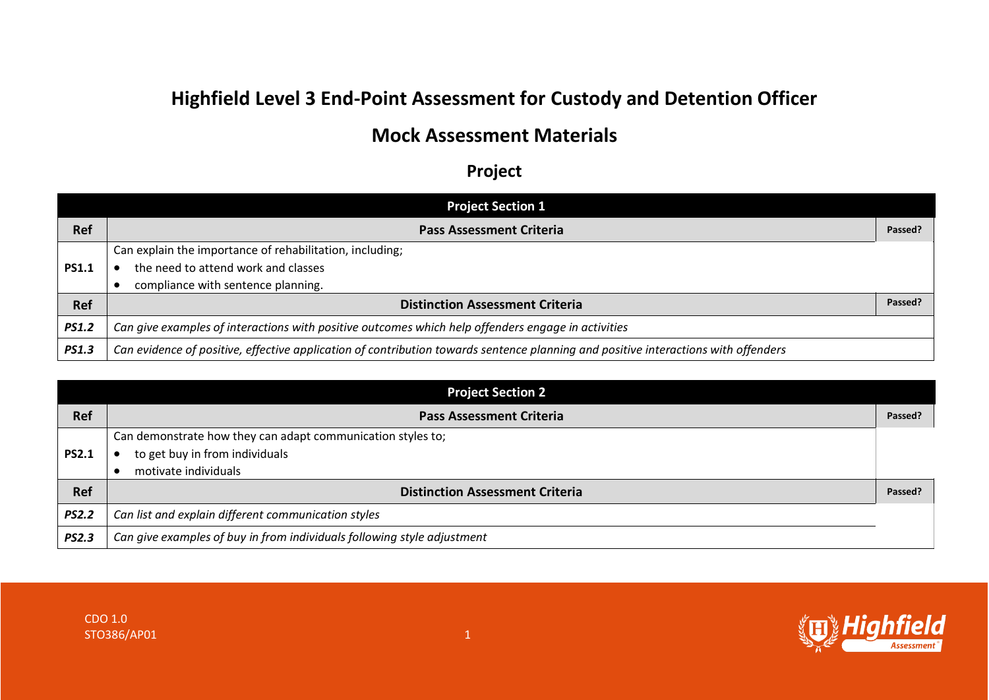## **Highfield Level 3 End-Point Assessment for Custody and Detention Officer**

## **Mock Assessment Materials**

## **Project**

| <b>Project Section 1</b> |                                                                                                                                    |         |  |
|--------------------------|------------------------------------------------------------------------------------------------------------------------------------|---------|--|
| <b>Ref</b>               | <b>Pass Assessment Criteria</b>                                                                                                    | Passed? |  |
|                          | Can explain the importance of rehabilitation, including;                                                                           |         |  |
| <b>PS1.1</b>             | the need to attend work and classes                                                                                                |         |  |
|                          | compliance with sentence planning.                                                                                                 |         |  |
| Ref                      | <b>Distinction Assessment Criteria</b>                                                                                             | Passed? |  |
| <b>PS1.2</b>             | Can give examples of interactions with positive outcomes which help offenders engage in activities                                 |         |  |
| <b>PS1.3</b>             | Can evidence of positive, effective application of contribution towards sentence planning and positive interactions with offenders |         |  |

| <b>Project Section 2</b> |                                                                         |         |  |
|--------------------------|-------------------------------------------------------------------------|---------|--|
| <b>Ref</b>               | <b>Pass Assessment Criteria</b>                                         | Passed? |  |
|                          | Can demonstrate how they can adapt communication styles to;             |         |  |
| <b>PS2.1</b>             | to get buy in from individuals                                          |         |  |
|                          | motivate individuals                                                    |         |  |
| <b>Ref</b>               | <b>Distinction Assessment Criteria</b>                                  | Passed? |  |
| <b>PS2.2</b>             | Can list and explain different communication styles                     |         |  |
| <b>PS2.3</b>             | Can give examples of buy in from individuals following style adjustment |         |  |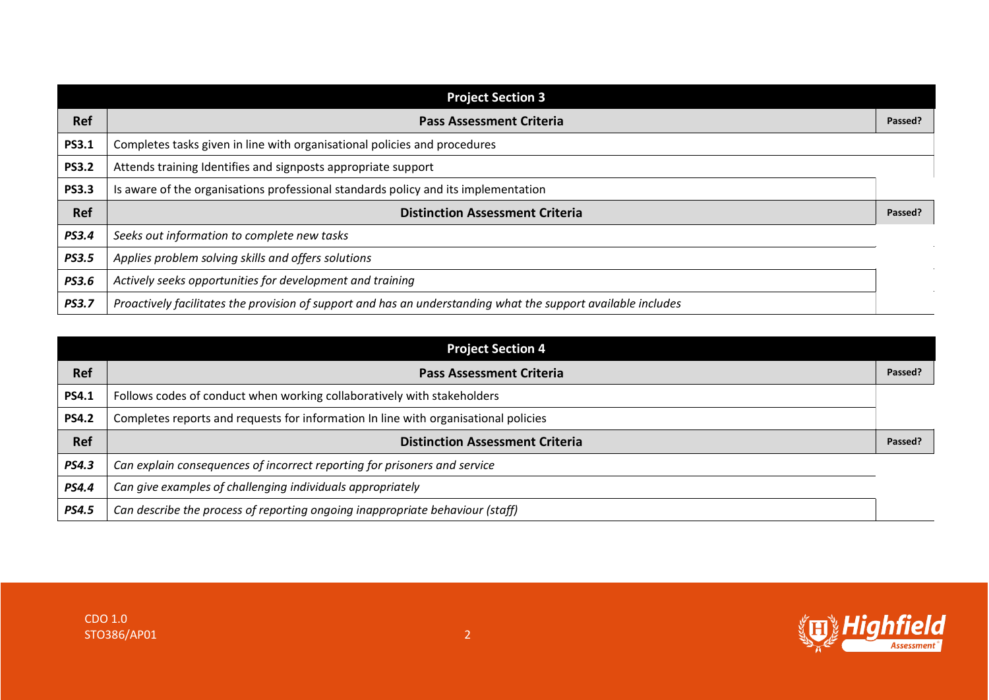| <b>Project Section 3</b> |                                                                                                               |         |
|--------------------------|---------------------------------------------------------------------------------------------------------------|---------|
| <b>Ref</b>               | <b>Pass Assessment Criteria</b>                                                                               | Passed? |
| <b>PS3.1</b>             | Completes tasks given in line with organisational policies and procedures                                     |         |
| <b>PS3.2</b>             | Attends training Identifies and signposts appropriate support                                                 |         |
| <b>PS3.3</b>             | Is aware of the organisations professional standards policy and its implementation                            |         |
| Ref                      | <b>Distinction Assessment Criteria</b>                                                                        | Passed? |
| <b>PS3.4</b>             | Seeks out information to complete new tasks                                                                   |         |
| <b>PS3.5</b>             | Applies problem solving skills and offers solutions                                                           |         |
| <b>PS3.6</b>             | Actively seeks opportunities for development and training                                                     |         |
| <b>PS3.7</b>             | Proactively facilitates the provision of support and has an understanding what the support available includes |         |

| <b>Project Section 4</b> |                                                                                     |         |
|--------------------------|-------------------------------------------------------------------------------------|---------|
| <b>Ref</b>               | <b>Pass Assessment Criteria</b>                                                     | Passed? |
| <b>PS4.1</b>             | Follows codes of conduct when working collaboratively with stakeholders             |         |
| <b>PS4.2</b>             | Completes reports and requests for information In line with organisational policies |         |
| <b>Ref</b>               | <b>Distinction Assessment Criteria</b>                                              | Passed? |
| <b>PS4.3</b>             | Can explain consequences of incorrect reporting for prisoners and service           |         |
| <b>PS4.4</b>             | Can give examples of challenging individuals appropriately                          |         |
| <b>PS4.5</b>             | Can describe the process of reporting ongoing inappropriate behaviour (staff)       |         |